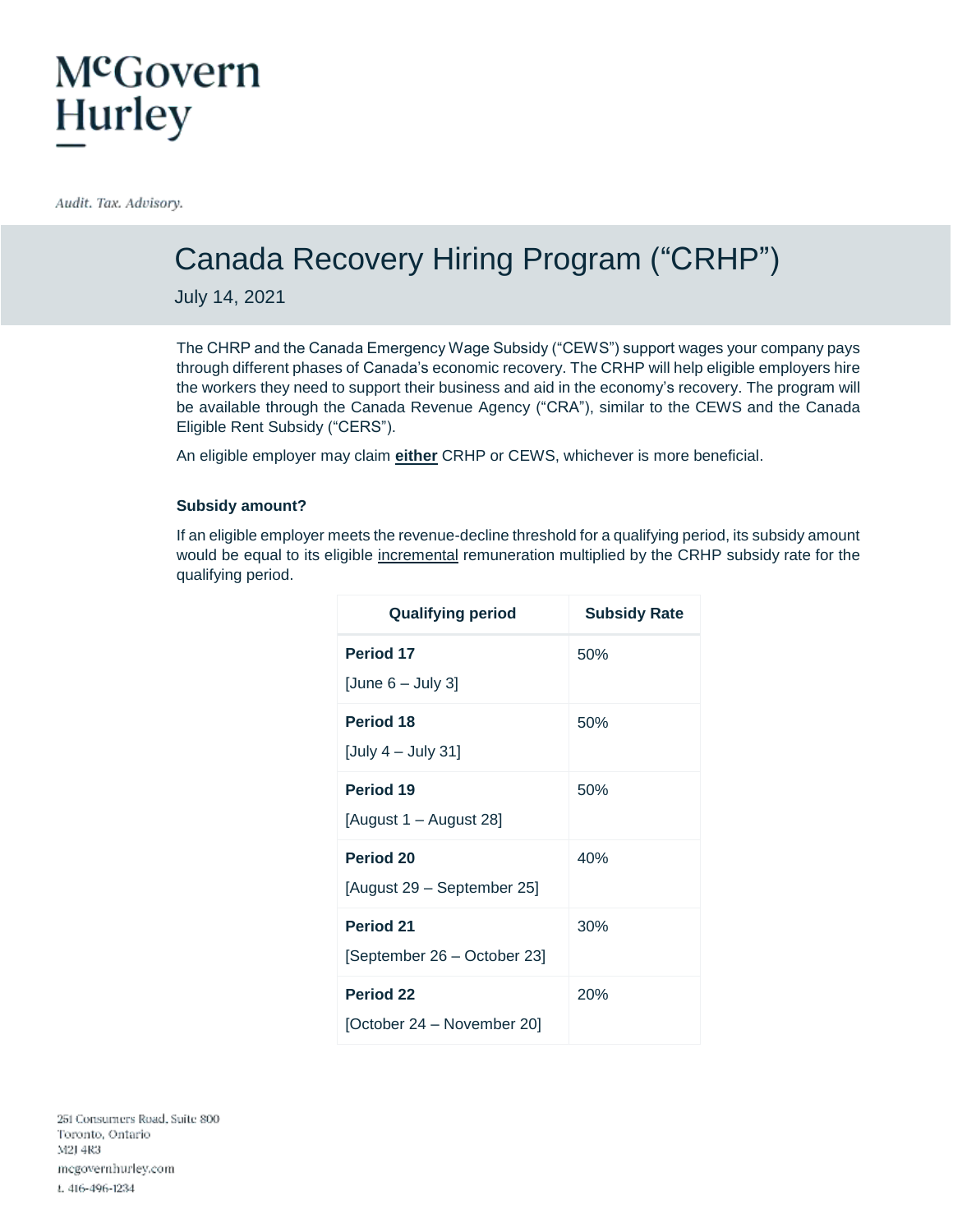### McGovern **Hurley**

Audit. Tax. Advisory.

### Canada Recovery Hiring Program ("CRHP")

July 14, 2021

The CHRP and the Canada Emergency Wage Subsidy ("CEWS") support wages your company pays through different phases of Canada's economic recovery. The CRHP will help eligible employers hire the workers they need to support their business and aid in the economy's recovery. The program will be available through the Canada Revenue Agency ("CRA"), similar to the CEWS and the Canada Eligible Rent Subsidy ("CERS").

An eligible employer may claim **either** CRHP or CEWS, whichever is more beneficial.

#### **Subsidy amount?**

If an eligible employer meets the revenue-decline threshold for a qualifying period, its subsidy amount would be equal to its eligible incremental remuneration multiplied by the CRHP subsidy rate for the qualifying period.

| <b>Qualifying period</b>    | <b>Subsidy Rate</b> |
|-----------------------------|---------------------|
| Period 17                   | 50%                 |
| [June $6 -$ July 3]         |                     |
| Period 18                   | 50%                 |
| [July $4 -$ July 31]        |                     |
| Period 19                   | 50%                 |
| [August 1 – August 28]      |                     |
| Period 20                   | 40%                 |
| [August 29 - September 25]  |                     |
| <b>Period 21</b>            | 30%                 |
| [September 26 – October 23] |                     |
| <b>Period 22</b>            | 20%                 |
| [October 24 – November 20]  |                     |

251 Consumers Road, Suite 800 Toronto, Ontario M2J 4R3 megovernhurley.com t. 416-496-1234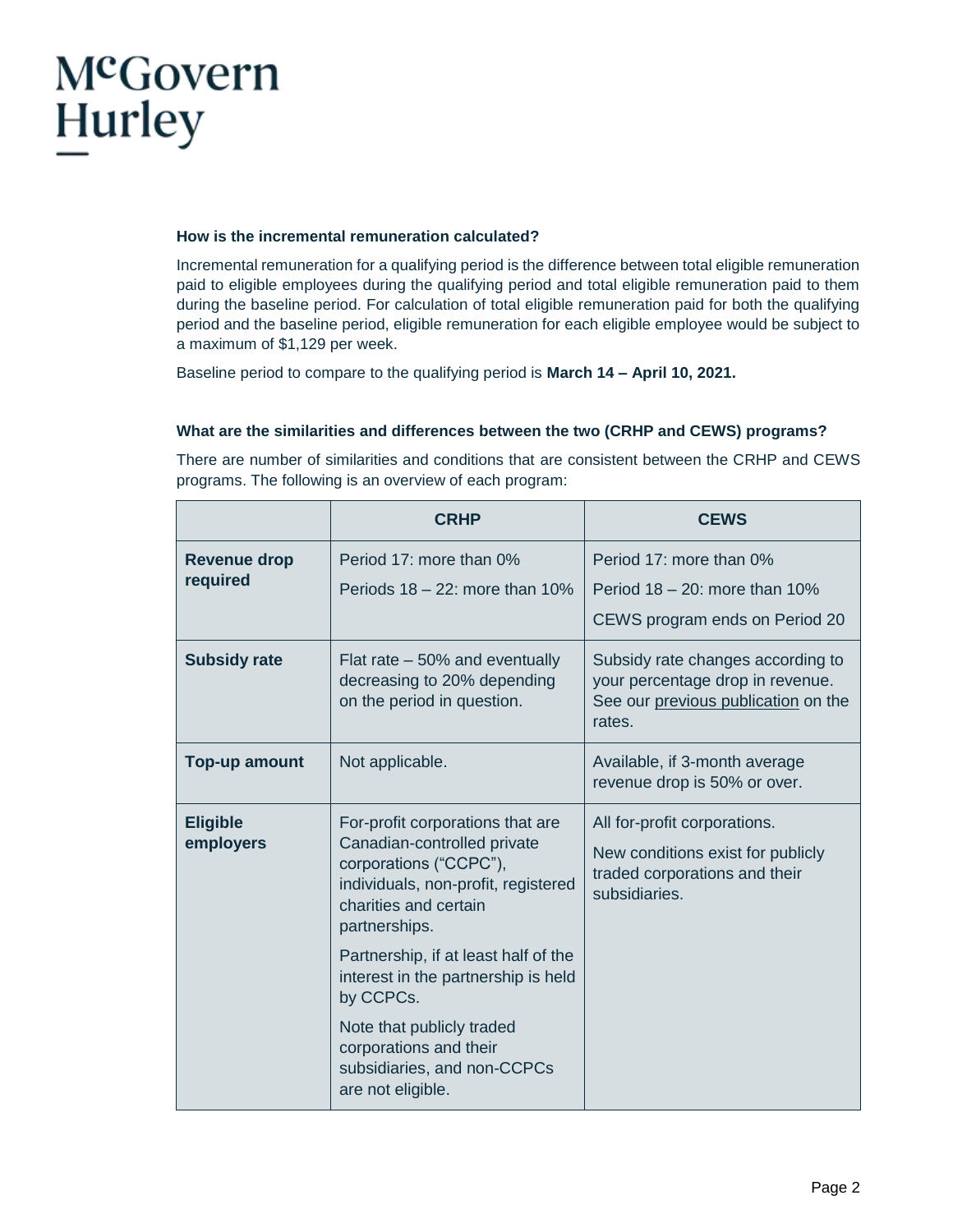## McGovern **Hurley**

#### **How is the incremental remuneration calculated?**

Incremental remuneration for a qualifying period is the difference between total eligible remuneration paid to eligible employees during the qualifying period and total eligible remuneration paid to them during the baseline period. For calculation of total eligible remuneration paid for both the qualifying period and the baseline period, eligible remuneration for each eligible employee would be subject to a maximum of \$1,129 per week.

Baseline period to compare to the qualifying period is **March 14 – April 10, 2021.** 

#### **What are the similarities and differences between the two (CRHP and CEWS) programs?**

There are number of similarities and conditions that are consistent between the CRHP and CEWS programs. The following is an overview of each program:

|                                 | <b>CRHP</b>                                                                                                                                                                                                                                                            | <b>CEWS</b>                                                                                                            |  |
|---------------------------------|------------------------------------------------------------------------------------------------------------------------------------------------------------------------------------------------------------------------------------------------------------------------|------------------------------------------------------------------------------------------------------------------------|--|
| <b>Revenue drop</b><br>required | Period 17: more than 0%<br>Periods $18 - 22$ : more than $10\%$                                                                                                                                                                                                        | Period 17: more than 0%<br>Period $18 - 20$ : more than $10\%$<br>CEWS program ends on Period 20                       |  |
| <b>Subsidy rate</b>             | Flat rate $-50\%$ and eventually<br>decreasing to 20% depending<br>on the period in question.                                                                                                                                                                          | Subsidy rate changes according to<br>your percentage drop in revenue.<br>See our previous publication on the<br>rates. |  |
| Top-up amount                   | Not applicable.                                                                                                                                                                                                                                                        | Available, if 3-month average<br>revenue drop is 50% or over.                                                          |  |
| <b>Eligible</b><br>employers    | For-profit corporations that are<br>Canadian-controlled private<br>corporations ("CCPC"),<br>individuals, non-profit, registered<br>charities and certain<br>partnerships.<br>Partnership, if at least half of the<br>interest in the partnership is held<br>by CCPCs. | All for-profit corporations.<br>New conditions exist for publicly<br>traded corporations and their<br>subsidiaries.    |  |
|                                 | Note that publicly traded<br>corporations and their<br>subsidiaries, and non-CCPCs<br>are not eligible.                                                                                                                                                                |                                                                                                                        |  |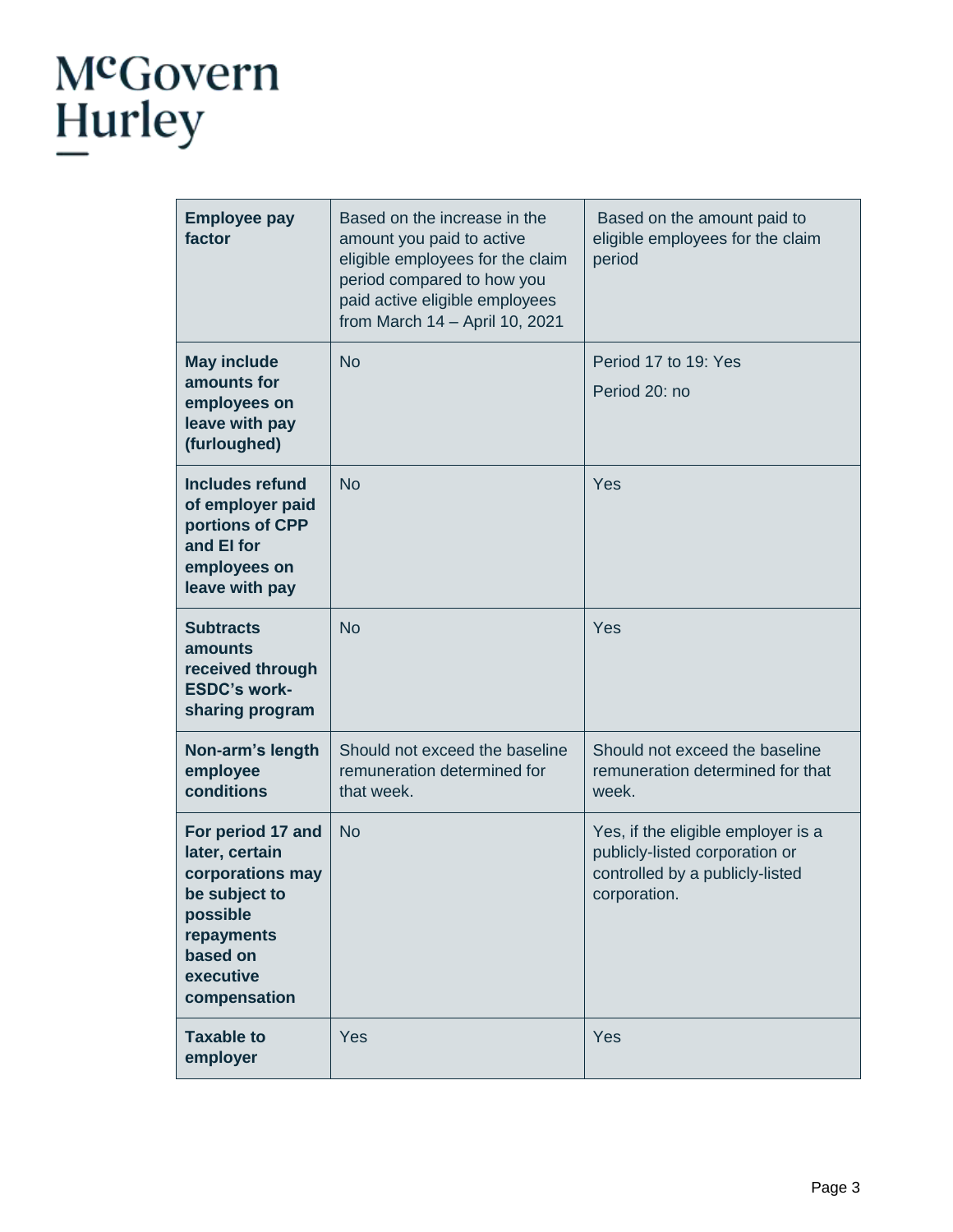# McGovern<br>Hurley

| <b>Employee pay</b><br>factor                                                                                                               | Based on the increase in the<br>amount you paid to active<br>eligible employees for the claim<br>period compared to how you<br>paid active eligible employees<br>from March 14 - April 10, 2021 | Based on the amount paid to<br>eligible employees for the claim<br>period                                               |  |
|---------------------------------------------------------------------------------------------------------------------------------------------|-------------------------------------------------------------------------------------------------------------------------------------------------------------------------------------------------|-------------------------------------------------------------------------------------------------------------------------|--|
| <b>May include</b><br>amounts for<br>employees on<br>leave with pay<br>(furloughed)                                                         | <b>No</b>                                                                                                                                                                                       | Period 17 to 19: Yes<br>Period 20: no                                                                                   |  |
| <b>Includes refund</b><br>of employer paid<br>portions of CPP<br>and El for<br>employees on<br>leave with pay                               | <b>No</b>                                                                                                                                                                                       | Yes                                                                                                                     |  |
| <b>Subtracts</b><br>amounts<br>received through<br><b>ESDC's work-</b><br>sharing program                                                   | <b>No</b>                                                                                                                                                                                       | Yes                                                                                                                     |  |
| Non-arm's length<br>employee<br>conditions                                                                                                  | Should not exceed the baseline<br>remuneration determined for<br>that week.                                                                                                                     | Should not exceed the baseline<br>remuneration determined for that<br>week.                                             |  |
| For period 17 and<br>later, certain<br>corporations may<br>be subject to<br>possible<br>repayments<br>based on<br>executive<br>compensation | <b>No</b>                                                                                                                                                                                       | Yes, if the eligible employer is a<br>publicly-listed corporation or<br>controlled by a publicly-listed<br>corporation. |  |
| <b>Taxable to</b><br>employer                                                                                                               | Yes                                                                                                                                                                                             | Yes                                                                                                                     |  |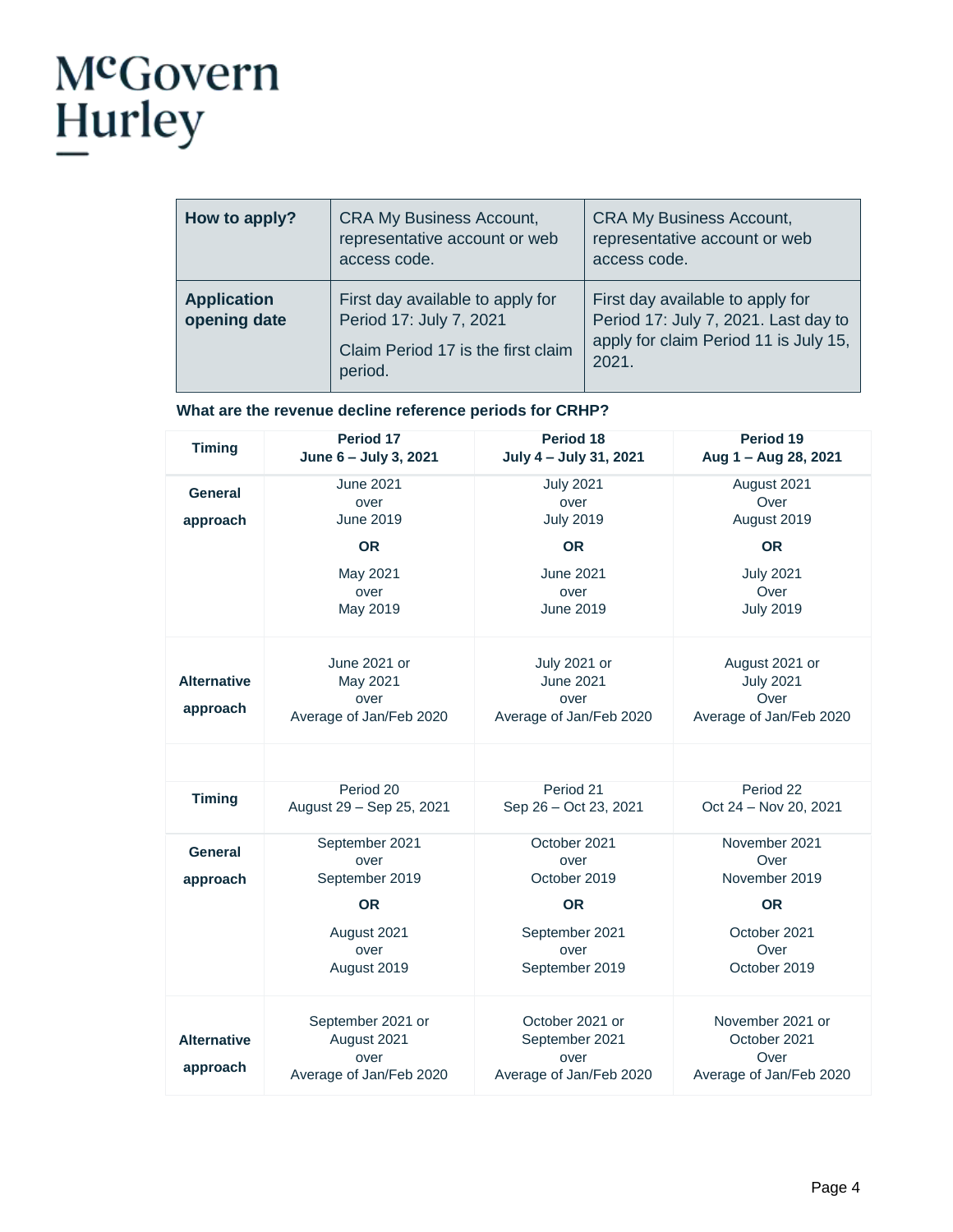## McGovern<br>Hurley

| How to apply?                      | <b>CRA My Business Account,</b><br>representative account or web<br>access code.                             | <b>CRA My Business Account,</b><br>representative account or web<br>access code.                                           |
|------------------------------------|--------------------------------------------------------------------------------------------------------------|----------------------------------------------------------------------------------------------------------------------------|
| <b>Application</b><br>opening date | First day available to apply for<br>Period 17: July 7, 2021<br>Claim Period 17 is the first claim<br>period. | First day available to apply for<br>Period 17: July 7, 2021. Last day to<br>apply for claim Period 11 is July 15,<br>2021. |

#### **What are the revenue decline reference periods for CRHP?**

| <b>Timing</b>                  | Period 17<br>June 6 - July 3, 2021                                  | Period 18<br>July 4 - July 31, 2021                                  | Period 19<br>Aug 1 - Aug 28, 2021                                     |
|--------------------------------|---------------------------------------------------------------------|----------------------------------------------------------------------|-----------------------------------------------------------------------|
| <b>General</b><br>approach     | <b>June 2021</b><br>over<br><b>June 2019</b>                        | <b>July 2021</b><br>over<br><b>July 2019</b>                         | August 2021<br>Over<br>August 2019                                    |
|                                | <b>OR</b>                                                           | <b>OR</b>                                                            | <b>OR</b>                                                             |
|                                | May 2021<br>over<br>May 2019                                        | <b>June 2021</b><br>over<br><b>June 2019</b>                         | <b>July 2021</b><br>Over<br><b>July 2019</b>                          |
| <b>Alternative</b><br>approach | June 2021 or<br>May 2021<br>over<br>Average of Jan/Feb 2020         | July 2021 or<br><b>June 2021</b><br>over<br>Average of Jan/Feb 2020  | August 2021 or<br><b>July 2021</b><br>Over<br>Average of Jan/Feb 2020 |
|                                |                                                                     |                                                                      |                                                                       |
| <b>Timing</b>                  | Period 20<br>August 29 - Sep 25, 2021                               | Period 21<br>Sep 26 - Oct 23, 2021                                   | Period 22<br>Oct 24 - Nov 20, 2021                                    |
| General<br>approach            | September 2021<br>over<br>September 2019                            | October 2021<br>over<br>October 2019                                 | November 2021<br>Over<br>November 2019                                |
|                                | <b>OR</b>                                                           | <b>OR</b>                                                            | <b>OR</b>                                                             |
|                                | August 2021<br>over<br>August 2019                                  | September 2021<br>over<br>September 2019                             | October 2021<br>Over<br>October 2019                                  |
| <b>Alternative</b><br>approach | September 2021 or<br>August 2021<br>over<br>Average of Jan/Feb 2020 | October 2021 or<br>September 2021<br>over<br>Average of Jan/Feb 2020 | November 2021 or<br>October 2021<br>Over<br>Average of Jan/Feb 2020   |